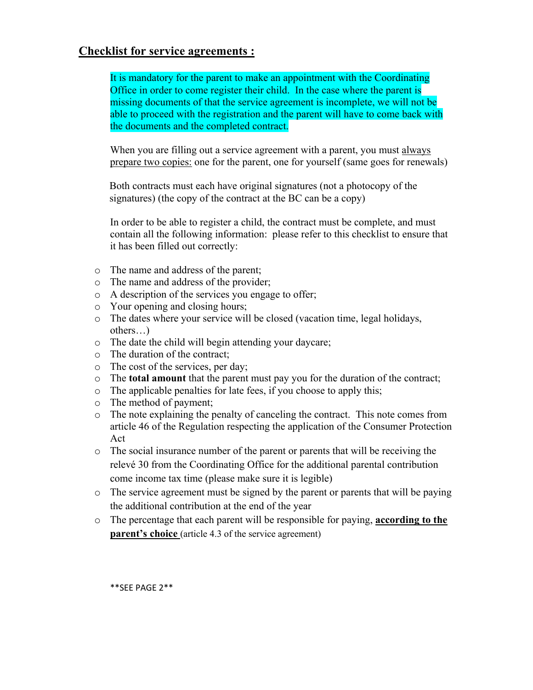## **Checklist for service agreements :**

It is mandatory for the parent to make an appointment with the Coordinating Office in order to come register their child. In the case where the parent is missing documents of that the service agreement is incomplete, we will not be able to proceed with the registration and the parent will have to come back with the documents and the completed contract.

When you are filling out a service agreement with a parent, you must always prepare two copies: one for the parent, one for yourself (same goes for renewals)

Both contracts must each have original signatures (not a photocopy of the signatures) (the copy of the contract at the BC can be a copy)

In order to be able to register a child, the contract must be complete, and must contain all the following information: please refer to this checklist to ensure that it has been filled out correctly:

- o The name and address of the parent;
- o The name and address of the provider;
- o A description of the services you engage to offer;
- o Your opening and closing hours;
- o The dates where your service will be closed (vacation time, legal holidays, others…)
- o The date the child will begin attending your daycare;
- o The duration of the contract;
- o The cost of the services, per day;
- o The **total amount** that the parent must pay you for the duration of the contract;
- o The applicable penalties for late fees, if you choose to apply this;
- o The method of payment;
- o The note explaining the penalty of canceling the contract. This note comes from article 46 of the Regulation respecting the application of the Consumer Protection Act
- o The social insurance number of the parent or parents that will be receiving the relevé 30 from the Coordinating Office for the additional parental contribution come income tax time (please make sure it is legible)
- o The service agreement must be signed by the parent or parents that will be paying the additional contribution at the end of the year
- o The percentage that each parent will be responsible for paying, **according to the parent's choice** (article 4.3 of the service agreement)

\*\*SEE PAGE 2\*\*